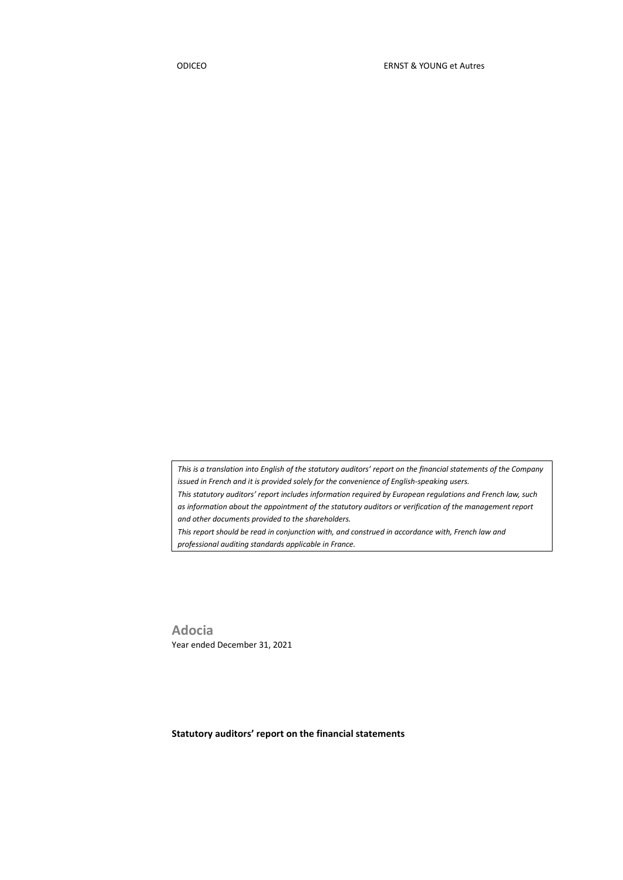*This is a translation into English of the statutory auditors' report on the financial statements of the Company issued in French and it is provided solely for the convenience of English-speaking users. This statutory auditors' report includes information required by European regulations and French law, such as information about the appointment of the statutory auditors or verification of the management report and other documents provided to the shareholders. This report should be read in conjunction with, and construed in accordance with, French law and* 

*professional auditing standards applicable in France.*

**Adocia** Year ended December 31, 2021

**Statutory auditors' report on the financial statements**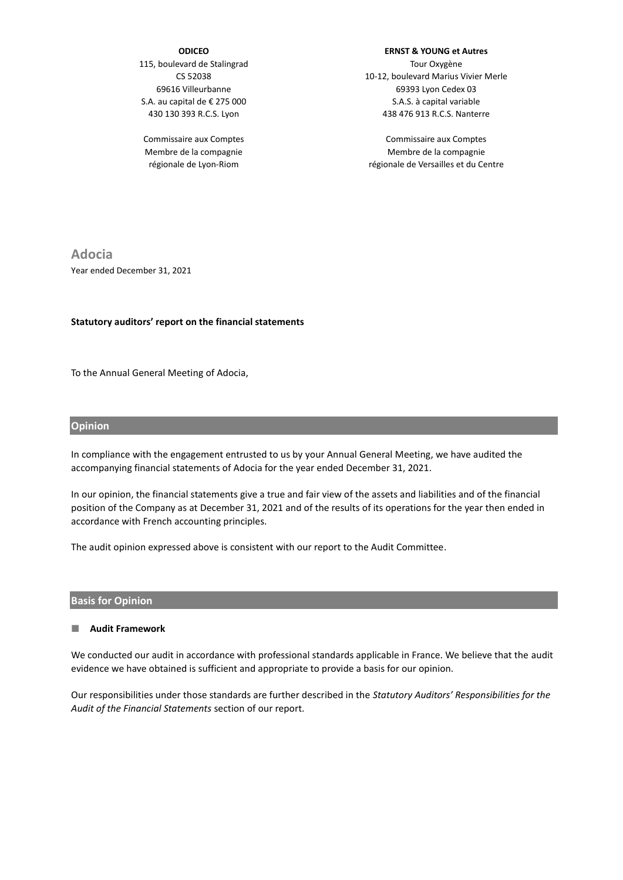#### **ODICEO**

115, boulevard de Stalingrad CS 52038 69616 Villeurbanne S.A. au capital de € 275 000 430 130 393 R.C.S. Lyon

Commissaire aux Comptes Membre de la compagnie régionale de Lyon-Riom

#### **ERNST & YOUNG et Autres**

Tour Oxygène 10-12, boulevard Marius Vivier Merle 69393 Lyon Cedex 03 S.A.S. à capital variable 438 476 913 R.C.S. Nanterre

Commissaire aux Comptes Membre de la compagnie régionale de Versailles et du Centre

**Adocia** Year ended December 31, 2021

#### **Statutory auditors' report on the financial statements**

To the Annual General Meeting of Adocia,

#### **Opinion**

In compliance with the engagement entrusted to us by your Annual General Meeting, we have audited the accompanying financial statements of Adocia for the year ended December 31, 2021.

In our opinion, the financial statements give a true and fair view of the assets and liabilities and of the financial position of the Company as at December 31, 2021 and of the results of its operations for the year then ended in accordance with French accounting principles.

The audit opinion expressed above is consistent with our report to the Audit Committee.

#### **Basis for Opinion**

#### **Audit Framework**

We conducted our audit in accordance with professional standards applicable in France. We believe that the audit evidence we have obtained is sufficient and appropriate to provide a basis for our opinion.

Our responsibilities under those standards are further described in the *Statutory Auditors' Responsibilities for the Audit of the Financial Statements* section of our report.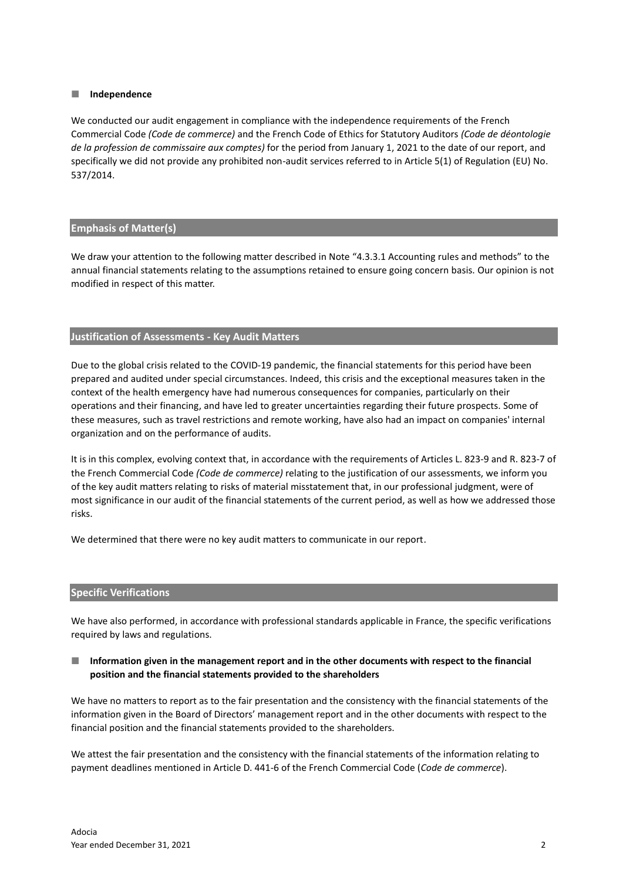#### **Independence**

We conducted our audit engagement in compliance with the independence requirements of the French Commercial Code *(Code de commerce)* and the French Code of Ethics for Statutory Auditors *(Code de déontologie de la profession de commissaire aux comptes)* for the period from January 1, 2021 to the date of our report, and specifically we did not provide any prohibited non-audit services referred to in Article 5(1) of Regulation (EU) No. 537/2014.

### **Emphasis of Matter(s)**

We draw your attention to the following matter described in Note "4.3.3.1 Accounting rules and methods" to the annual financial statements relating to the assumptions retained to ensure going concern basis. Our opinion is not modified in respect of this matter.

### **Justification of Assessments - Key Audit Matters**

Due to the global crisis related to the COVID-19 pandemic, the financial statements for this period have been prepared and audited under special circumstances. Indeed, this crisis and the exceptional measures taken in the context of the health emergency have had numerous consequences for companies, particularly on their operations and their financing, and have led to greater uncertainties regarding their future prospects. Some of these measures, such as travel restrictions and remote working, have also had an impact on companies' internal organization and on the performance of audits.

It is in this complex, evolving context that, in accordance with the requirements of Articles L. 823-9 and R. 823-7 of the French Commercial Code *(Code de commerce)* relating to the justification of our assessments, we inform you of the key audit matters relating to risks of material misstatement that, in our professional judgment, were of most significance in our audit of the financial statements of the current period, as well as how we addressed those risks.

We determined that there were no key audit matters to communicate in our report.

### **Specific Verifications**

We have also performed, in accordance with professional standards applicable in France, the specific verifications required by laws and regulations.

### **Information given in the management report and in the other documents with respect to the financial position and the financial statements provided to the shareholders**

We have no matters to report as to the fair presentation and the consistency with the financial statements of the information given in the Board of Directors' management report and in the other documents with respect to the financial position and the financial statements provided to the shareholders.

We attest the fair presentation and the consistency with the financial statements of the information relating to payment deadlines mentioned in Article D. 441-6 of the French Commercial Code (*Code de commerce*).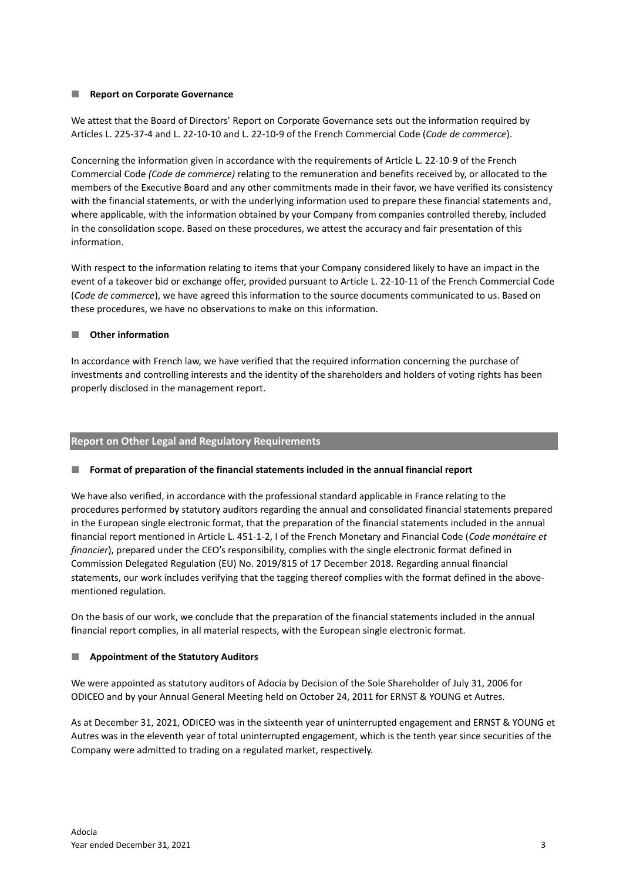# **Report on Corporate Governance**

We attest that the Board of Directors' Report on Corporate Governance sets out the information required by Articles L. 225-37-4 and L. 22-10-10 and L. 22-10-9 of the French Commercial Code (*Code de commerce*).

Concerning the information given in accordance with the requirements of Article L. 22-10-9 of the French Commercial Code *(Code de commerce)* relating to the remuneration and benefits received by, or allocated to the members of the Executive Board and any other commitments made in their favor, we have verified its consistency with the financial statements, or with the underlying information used to prepare these financial statements and, where applicable, with the information obtained by your Company from companies controlled thereby, included in the consolidation scope. Based on these procedures, we attest the accuracy and fair presentation of this information.

With respect to the information relating to items that your Company considered likely to have an impact in the event of a takeover bid or exchange offer, provided pursuant to Article L. 22-10-11 of the French Commercial Code (*Code de commerce*), we have agreed this information to the source documents communicated to us. Based on these procedures, we have no observations to make on this information.

# **Other information**

In accordance with French law, we have verified that the required information concerning the purchase of investments and controlling interests and the identity of the shareholders and holders of voting rights has been properly disclosed in the management report.

# **Report on Other Legal and Regulatory Requirements**

### **Format of preparation of the financial statements included in the annual financial report**

We have also verified, in accordance with the professional standard applicable in France relating to the procedures performed by statutory auditors regarding the annual and consolidated financial statements prepared in the European single electronic format, that the preparation of the financial statements included in the annual financial report mentioned in Article L. 451-1-2, I of the French Monetary and Financial Code (*Code monétaire et financier*), prepared under the CEO's responsibility, complies with the single electronic format defined in Commission Delegated Regulation (EU) No. 2019/815 of 17 December 2018. Regarding annual financial statements, our work includes verifying that the tagging thereof complies with the format defined in the abovementioned regulation.

On the basis of our work, we conclude that the preparation of the financial statements included in the annual financial report complies, in all material respects, with the European single electronic format.

### **Appointment of the Statutory Auditors**

We were appointed as statutory auditors of Adocia by Decision of the Sole Shareholder of July 31, 2006 for ODICEO and by your Annual General Meeting held on October 24, 2011 for ERNST & YOUNG et Autres.

As at December 31, 2021, ODICEO was in the sixteenth year of uninterrupted engagement and ERNST & YOUNG et Autres was in the eleventh year of total uninterrupted engagement, which is the tenth year since securities of the Company were admitted to trading on a regulated market, respectively.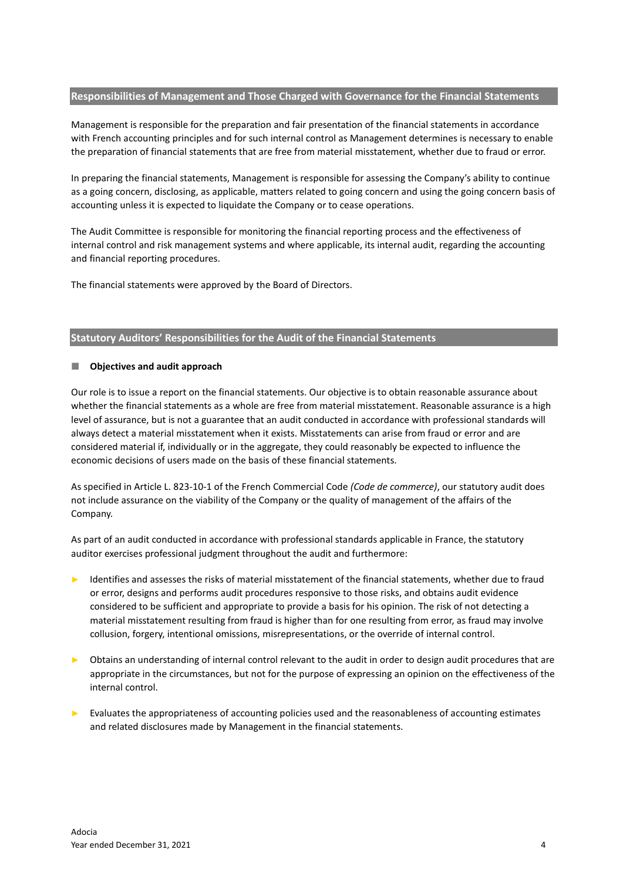### **Responsibilities of Management and Those Charged with Governance for the Financial Statements**

Management is responsible for the preparation and fair presentation of the financial statements in accordance with French accounting principles and for such internal control as Management determines is necessary to enable the preparation of financial statements that are free from material misstatement, whether due to fraud or error.

In preparing the financial statements, Management is responsible for assessing the Company's ability to continue as a going concern, disclosing, as applicable, matters related to going concern and using the going concern basis of accounting unless it is expected to liquidate the Company or to cease operations.

The Audit Committee is responsible for monitoring the financial reporting process and the effectiveness of internal control and risk management systems and where applicable, its internal audit, regarding the accounting and financial reporting procedures.

The financial statements were approved by the Board of Directors.

# **Statutory Auditors' Responsibilities for the Audit of the Financial Statements**

# **Objectives and audit approach**

Our role is to issue a report on the financial statements. Our objective is to obtain reasonable assurance about whether the financial statements as a whole are free from material misstatement. Reasonable assurance is a high level of assurance, but is not a guarantee that an audit conducted in accordance with professional standards will always detect a material misstatement when it exists. Misstatements can arise from fraud or error and are considered material if, individually or in the aggregate, they could reasonably be expected to influence the economic decisions of users made on the basis of these financial statements.

As specified in Article L. 823-10-1 of the French Commercial Code *(Code de commerce)*, our statutory audit does not include assurance on the viability of the Company or the quality of management of the affairs of the Company.

As part of an audit conducted in accordance with professional standards applicable in France, the statutory auditor exercises professional judgment throughout the audit and furthermore:

- Identifies and assesses the risks of material misstatement of the financial statements, whether due to fraud or error, designs and performs audit procedures responsive to those risks, and obtains audit evidence considered to be sufficient and appropriate to provide a basis for his opinion. The risk of not detecting a material misstatement resulting from fraud is higher than for one resulting from error, as fraud may involve collusion, forgery, intentional omissions, misrepresentations, or the override of internal control.
- ► Obtains an understanding of internal control relevant to the audit in order to design audit procedures that are appropriate in the circumstances, but not for the purpose of expressing an opinion on the effectiveness of the internal control.
- ► Evaluates the appropriateness of accounting policies used and the reasonableness of accounting estimates and related disclosures made by Management in the financial statements.